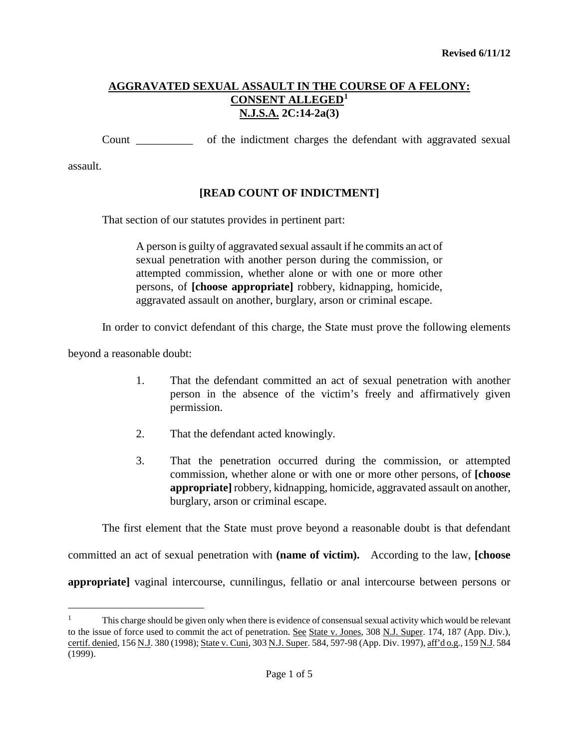Count \_\_\_\_\_\_\_\_\_\_ of the indictment charges the defendant with aggravated sexual

assault.

# **[READ COUNT OF INDICTMENT]**

That section of our statutes provides in pertinent part:

A person is guilty of aggravated sexual assault if he commits an act of sexual penetration with another person during the commission, or attempted commission, whether alone or with one or more other persons, of **[choose appropriate]** robbery, kidnapping, homicide, aggravated assault on another, burglary, arson or criminal escape.

In order to convict defendant of this charge, the State must prove the following elements

beyond a reasonable doubt:

- 1. That the defendant committed an act of sexual penetration with another person in the absence of the victim's freely and affirmatively given permission.
- 2. That the defendant acted knowingly.
- 3. That the penetration occurred during the commission, or attempted commission, whether alone or with one or more other persons, of **[choose appropriate]** robbery, kidnapping, homicide, aggravated assault on another, burglary, arson or criminal escape.

The first element that the State must prove beyond a reasonable doubt is that defendant

committed an act of sexual penetration with **(name of victim).** According to the law, **[choose** 

**appropriate]** vaginal intercourse, cunnilingus, fellatio or anal intercourse between persons or

<span id="page-0-0"></span>Ĩ. 1 This charge should be given only when there is evidence of consensual sexual activity which would be relevant to the issue of force used to commit the act of penetration. See State v. Jones, 308 N.J. Super. 174, 187 (App. Div.), certif. denied, 156 N.J. 380 (1998); State v. Cuni, 303 N.J. Super. 584, 597-98 (App. Div. 1997), aff'd o.g., 159 N.J. 584 (1999).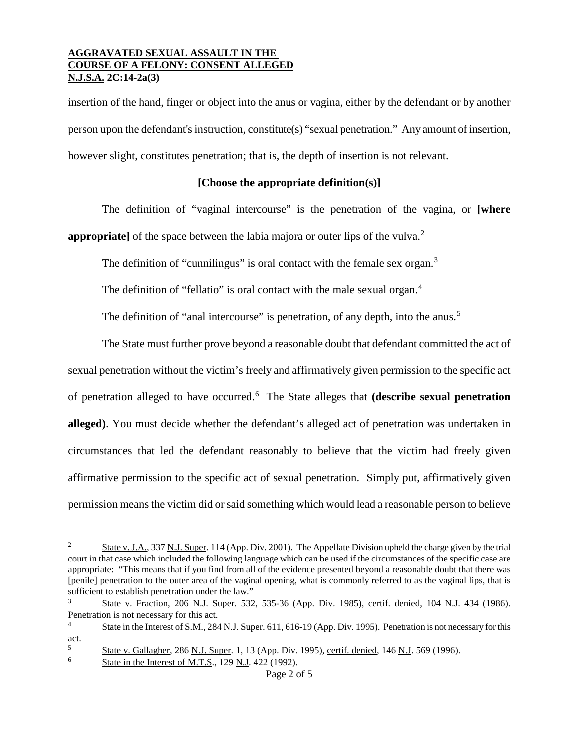insertion of the hand, finger or object into the anus or vagina, either by the defendant or by another person upon the defendant's instruction, constitute(s) "sexual penetration." Any amount of insertion, however slight, constitutes penetration; that is, the depth of insertion is not relevant.

# **[Choose the appropriate definition(s)]**

The definition of "vaginal intercourse" is the penetration of the vagina, or **[where appropriate**] of the space between the labia majora or outer lips of the vulva.<sup>[2](#page-1-0)</sup>

The definition of "cunnilingus" is oral contact with the female sex organ.<sup>[3](#page-1-1)</sup>

The definition of "fellatio" is oral contact with the male sexual organ.<sup>[4](#page-1-2)</sup>

The definition of "anal intercourse" is penetration, of any depth, into the anus.<sup>[5](#page-1-3)</sup>

The State must further prove beyond a reasonable doubt that defendant committed the act of sexual penetration without the victim's freely and affirmatively given permission to the specific act of penetration alleged to have occurred.[6](#page-1-4) The State alleges that **(describe sexual penetration alleged)**. You must decide whether the defendant's alleged act of penetration was undertaken in circumstances that led the defendant reasonably to believe that the victim had freely given affirmative permission to the specific act of sexual penetration. Simply put, affirmatively given permission means the victim did or said something which would lead a reasonable person to believe

<span id="page-1-0"></span> $\frac{1}{2}$  State v. J.A., 337 N.J. Super. 114 (App. Div. 2001). The Appellate Division upheld the charge given by the trial court in that case which included the following language which can be used if the circumstances of the specific case are appropriate: "This means that if you find from all of the evidence presented beyond a reasonable doubt that there was [penile] penetration to the outer area of the vaginal opening, what is commonly referred to as the vaginal lips, that is sufficient to establish penetration under the law."

<span id="page-1-1"></span><sup>3</sup> State v. Fraction, 206 N.J. Super. 532, 535-36 (App. Div. 1985), certif. denied, 104 N.J. 434 (1986). Penetration is not necessary for this act.

<span id="page-1-2"></span><sup>&</sup>lt;sup>4</sup> State in the Interest of S.M., 284 N.J. Super. 611, 616-19 (App. Div. 1995). Penetration is not necessary for this act.

<span id="page-1-3"></span><sup>5</sup> State v. Gallagher, 286 N.J. Super. 1, 13 (App. Div. 1995), certif. denied, 146 N.J. 569 (1996).

<span id="page-1-4"></span> $6$  State in the Interest of M.T.S., 129 N.J. 422 (1992).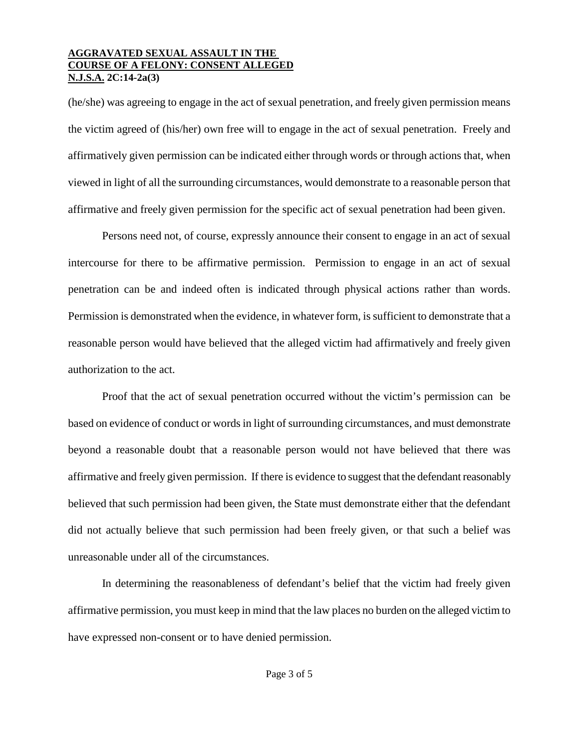(he/she) was agreeing to engage in the act of sexual penetration, and freely given permission means the victim agreed of (his/her) own free will to engage in the act of sexual penetration. Freely and affirmatively given permission can be indicated either through words or through actions that, when viewed in light of all the surrounding circumstances, would demonstrate to a reasonable person that affirmative and freely given permission for the specific act of sexual penetration had been given.

Persons need not, of course, expressly announce their consent to engage in an act of sexual intercourse for there to be affirmative permission. Permission to engage in an act of sexual penetration can be and indeed often is indicated through physical actions rather than words. Permission is demonstrated when the evidence, in whatever form, is sufficient to demonstrate that a reasonable person would have believed that the alleged victim had affirmatively and freely given authorization to the act.

Proof that the act of sexual penetration occurred without the victim's permission can be based on evidence of conduct or words in light of surrounding circumstances, and must demonstrate beyond a reasonable doubt that a reasonable person would not have believed that there was affirmative and freely given permission. If there is evidence to suggest that the defendant reasonably believed that such permission had been given, the State must demonstrate either that the defendant did not actually believe that such permission had been freely given, or that such a belief was unreasonable under all of the circumstances.

In determining the reasonableness of defendant's belief that the victim had freely given affirmative permission, you must keep in mind that the law places no burden on the alleged victim to have expressed non-consent or to have denied permission.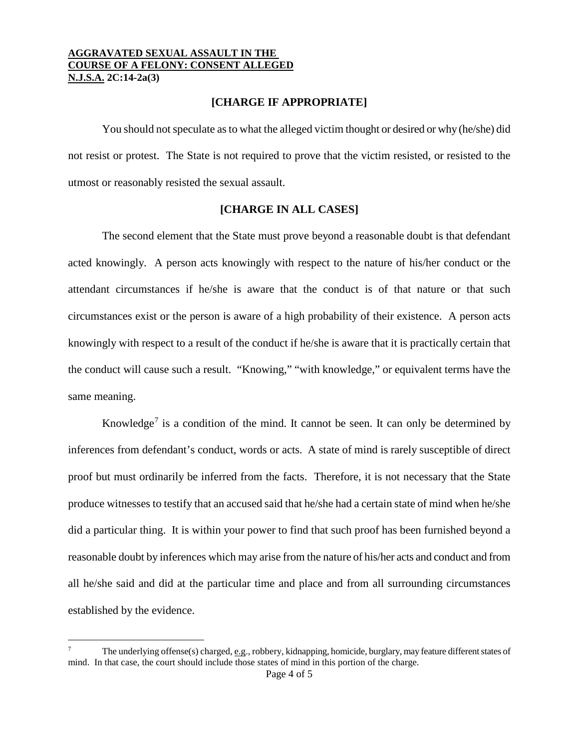#### **[CHARGE IF APPROPRIATE]**

You should not speculate as to what the alleged victim thought or desired or why (he/she) did not resist or protest. The State is not required to prove that the victim resisted, or resisted to the utmost or reasonably resisted the sexual assault.

## **[CHARGE IN ALL CASES]**

The second element that the State must prove beyond a reasonable doubt is that defendant acted knowingly. A person acts knowingly with respect to the nature of his/her conduct or the attendant circumstances if he/she is aware that the conduct is of that nature or that such circumstances exist or the person is aware of a high probability of their existence. A person acts knowingly with respect to a result of the conduct if he/she is aware that it is practically certain that the conduct will cause such a result. "Knowing," "with knowledge," or equivalent terms have the same meaning.

Knowledge<sup>[7](#page-3-0)</sup> is a condition of the mind. It cannot be seen. It can only be determined by inferences from defendant's conduct, words or acts. A state of mind is rarely susceptible of direct proof but must ordinarily be inferred from the facts. Therefore, it is not necessary that the State produce witnesses to testify that an accused said that he/she had a certain state of mind when he/she did a particular thing. It is within your power to find that such proof has been furnished beyond a reasonable doubt by inferences which may arise from the nature of his/her acts and conduct and from all he/she said and did at the particular time and place and from all surrounding circumstances established by the evidence.

<span id="page-3-0"></span>Ĩ. The underlying offense(s) charged, e.g., robbery, kidnapping, homicide, burglary, may feature different states of mind. In that case, the court should include those states of mind in this portion of the charge.